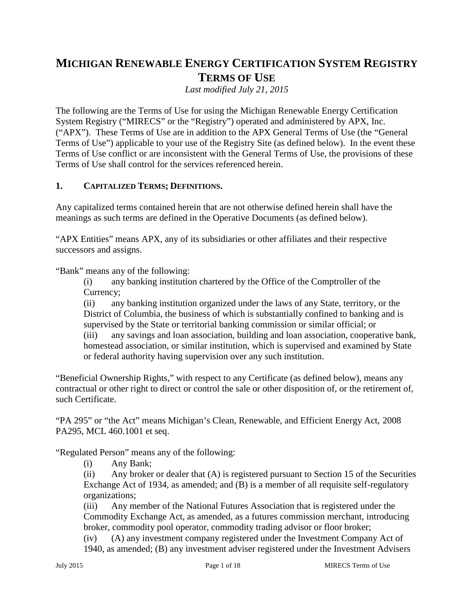# **MICHIGAN RENEWABLE ENERGY CERTIFICATION SYSTEM REGISTRY TERMS OF USE**

*Last modified July 21, 2015*

The following are the Terms of Use for using the Michigan Renewable Energy Certification System Registry ("MIRECS" or the "Registry") operated and administered by APX, Inc. ("APX"). These Terms of Use are in addition to the APX General Terms of Use (the "General Terms of Use") applicable to your use of the Registry Site (as defined below). In the event these Terms of Use conflict or are inconsistent with the General Terms of Use, the provisions of these Terms of Use shall control for the services referenced herein.

### **1. CAPITALIZED TERMS; DEFINITIONS.**

Any capitalized terms contained herein that are not otherwise defined herein shall have the meanings as such terms are defined in the Operative Documents (as defined below).

"APX Entities" means APX, any of its subsidiaries or other affiliates and their respective successors and assigns.

"Bank" means any of the following:

(i) any banking institution chartered by the Office of the Comptroller of the Currency;

(ii) any banking institution organized under the laws of any State, territory, or the District of Columbia, the business of which is substantially confined to banking and is supervised by the State or territorial banking commission or similar official; or

(iii) any savings and loan association, building and loan association, cooperative bank, homestead association, or similar institution, which is supervised and examined by State or federal authority having supervision over any such institution.

"Beneficial Ownership Rights," with respect to any Certificate (as defined below), means any contractual or other right to direct or control the sale or other disposition of, or the retirement of, such Certificate.

"PA 295" or "the Act" means Michigan's Clean, Renewable, and Efficient Energy Act, 2008 PA295, MCL 460.1001 et seq.

"Regulated Person" means any of the following:

(i) Any Bank;

(ii) Any broker or dealer that (A) is registered pursuant to Section 15 of the Securities Exchange Act of 1934, as amended; and (B) is a member of all requisite self-regulatory organizations;

(iii) Any member of the National Futures Association that is registered under the Commodity Exchange Act, as amended, as a futures commission merchant, introducing broker, commodity pool operator, commodity trading advisor or floor broker;

(iv) (A) any investment company registered under the Investment Company Act of 1940, as amended; (B) any investment adviser registered under the Investment Advisers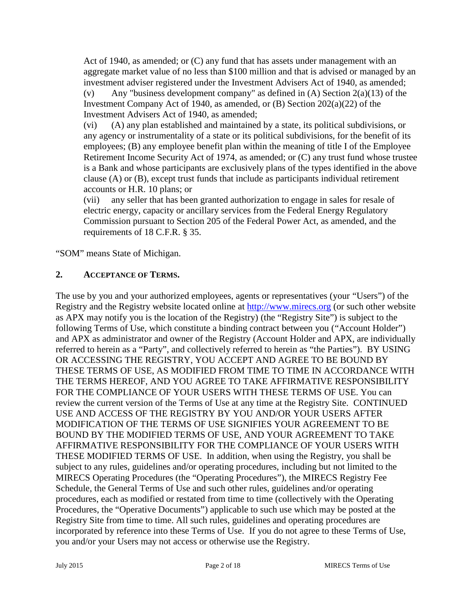Act of 1940, as amended; or (C) any fund that has assets under management with an aggregate market value of no less than \$100 million and that is advised or managed by an investment adviser registered under the Investment Advisers Act of 1940, as amended; (v) Any "business development company" as defined in  $(A)$  Section  $2(a)(13)$  of the Investment Company Act of 1940, as amended, or (B) Section 202(a)(22) of the Investment Advisers Act of 1940, as amended;

(vi) (A) any plan established and maintained by a state, its political subdivisions, or any agency or instrumentality of a state or its political subdivisions, for the benefit of its employees; (B) any employee benefit plan within the meaning of title I of the Employee Retirement Income Security Act of 1974, as amended; or (C) any trust fund whose trustee is a Bank and whose participants are exclusively plans of the types identified in the above clause (A) or (B), except trust funds that include as participants individual retirement accounts or H.R. 10 plans; or

(vii) any seller that has been granted authorization to engage in sales for resale of electric energy, capacity or ancillary services from the Federal Energy Regulatory Commission pursuant to Section 205 of the Federal Power Act, as amended, and the requirements of 18 C.F.R. § 35.

"SOM" means State of Michigan.

### **2. ACCEPTANCE OF TERMS.**

The use by you and your authorized employees, agents or representatives (your "Users") of the Registry and the Registry website located online at http://www.mirecs.org (or such other website as APX may notify you is the location of the Registry) (the "Registry Site") is subject to the following Terms of Use, which constitute a binding contract between you ("Account Holder") and APX as administrator and owner of the Registry (Account Holder and APX, are individually referred to herein as a "Party", and collectively referred to herein as "the Parties"). BY USING OR ACCESSING THE REGISTRY, YOU ACCEPT AND AGREE TO BE BOUND BY THESE TERMS OF USE, AS MODIFIED FROM TIME TO TIME IN ACCORDANCE WITH THE TERMS HEREOF, AND YOU AGREE TO TAKE AFFIRMATIVE RESPONSIBILITY FOR THE COMPLIANCE OF YOUR USERS WITH THESE TERMS OF USE. You can review the current version of the Terms of Use at any time at the Registry Site. CONTINUED USE AND ACCESS OF THE REGISTRY BY YOU AND/OR YOUR USERS AFTER MODIFICATION OF THE TERMS OF USE SIGNIFIES YOUR AGREEMENT TO BE BOUND BY THE MODIFIED TERMS OF USE, AND YOUR AGREEMENT TO TAKE AFFIRMATIVE RESPONSIBILITY FOR THE COMPLIANCE OF YOUR USERS WITH THESE MODIFIED TERMS OF USE. In addition, when using the Registry, you shall be subject to any rules, guidelines and/or operating procedures, including but not limited to the MIRECS Operating Procedures (the "Operating Procedures"), the MIRECS Registry Fee Schedule, the General Terms of Use and such other rules, guidelines and/or operating procedures, each as modified or restated from time to time (collectively with the Operating Procedures, the "Operative Documents") applicable to such use which may be posted at the Registry Site from time to time. All such rules, guidelines and operating procedures are incorporated by reference into these Terms of Use. If you do not agree to these Terms of Use, you and/or your Users may not access or otherwise use the Registry.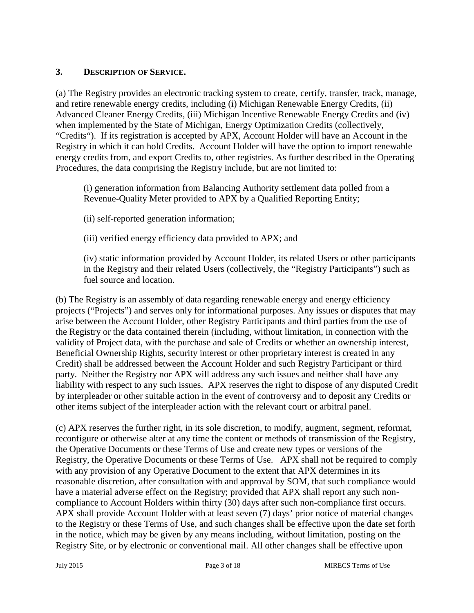### **3. DESCRIPTION OF SERVICE.**

(a) The Registry provides an electronic tracking system to create, certify, transfer, track, manage, and retire renewable energy credits, including (i) Michigan Renewable Energy Credits, (ii) Advanced Cleaner Energy Credits, (iii) Michigan Incentive Renewable Energy Credits and (iv) when implemented by the State of Michigan, Energy Optimization Credits (collectively, "Credits"). If its registration is accepted by APX, Account Holder will have an Account in the Registry in which it can hold Credits. Account Holder will have the option to import renewable energy credits from, and export Credits to, other registries. As further described in the Operating Procedures, the data comprising the Registry include, but are not limited to:

(i) generation information from Balancing Authority settlement data polled from a Revenue-Quality Meter provided to APX by a Qualified Reporting Entity;

(ii) self-reported generation information;

(iii) verified energy efficiency data provided to APX; and

(iv) static information provided by Account Holder, its related Users or other participants in the Registry and their related Users (collectively, the "Registry Participants") such as fuel source and location.

(b) The Registry is an assembly of data regarding renewable energy and energy efficiency projects ("Projects") and serves only for informational purposes. Any issues or disputes that may arise between the Account Holder, other Registry Participants and third parties from the use of the Registry or the data contained therein (including, without limitation, in connection with the validity of Project data, with the purchase and sale of Credits or whether an ownership interest, Beneficial Ownership Rights, security interest or other proprietary interest is created in any Credit) shall be addressed between the Account Holder and such Registry Participant or third party. Neither the Registry nor APX will address any such issues and neither shall have any liability with respect to any such issues. APX reserves the right to dispose of any disputed Credit by interpleader or other suitable action in the event of controversy and to deposit any Credits or other items subject of the interpleader action with the relevant court or arbitral panel.

(c) APX reserves the further right, in its sole discretion, to modify, augment, segment, reformat, reconfigure or otherwise alter at any time the content or methods of transmission of the Registry, the Operative Documents or these Terms of Use and create new types or versions of the Registry, the Operative Documents or these Terms of Use. APX shall not be required to comply with any provision of any Operative Document to the extent that APX determines in its reasonable discretion, after consultation with and approval by SOM, that such compliance would have a material adverse effect on the Registry; provided that APX shall report any such non compliance to Account Holders within thirty (30) days after such non-compliance first occurs. APX shall provide Account Holder with at least seven (7) days' prior notice of material changes to the Registry or these Terms of Use, and such changes shall be effective upon the date set forth in the notice, which may be given by any means including, without limitation, posting on the Registry Site, or by electronic or conventional mail. All other changes shall be effective upon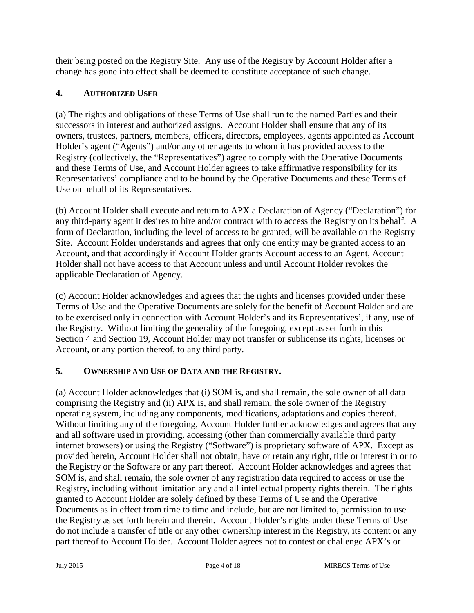their being posted on the Registry Site. Any use of the Registry by Account Holder after a change has gone into effect shall be deemed to constitute acceptance of such change.

# **4. AUTHORIZED USER**

(a) The rights and obligations of these Terms of Use shall run to the named Parties and their successors in interest and authorized assigns. Account Holder shall ensure that any of its owners, trustees, partners, members, officers, directors, employees, agents appointed as Account Holder's agent ("Agents") and/or any other agents to whom it has provided access to the Registry (collectively, the "Representatives") agree to comply with the Operative Documents and these Terms of Use, and Account Holder agrees to take affirmative responsibility for its Representatives' compliance and to be bound by the Operative Documents and these Terms of Use on behalf of its Representatives.

(b) Account Holder shall execute and return to APX a Declaration of Agency ("Declaration") for any third-party agent it desires to hire and/or contract with to access the Registry on its behalf. A form of Declaration, including the level of access to be granted, will be available on the Registry Site. Account Holder understands and agrees that only one entity may be granted access to an Account, and that accordingly if Account Holder grants Account access to an Agent, Account Holder shall not have access to that Account unless and until Account Holder revokes the applicable Declaration of Agency.

(c) Account Holder acknowledges and agrees that the rights and licenses provided under these Terms of Use and the Operative Documents are solely for the benefit of Account Holder and are to be exercised only in connection with Account Holder's and its Representatives', if any, use of the Registry. Without limiting the generality of the foregoing, except as set forth in this Section 4 and Section 19, Account Holder may not transfer or sublicense its rights, licenses or Account, or any portion thereof, to any third party.

# **5. OWNERSHIP AND USE OF DATA AND THE REGISTRY.**

(a) Account Holder acknowledges that (i) SOM is, and shall remain, the sole owner of all data comprising the Registry and (ii) APX is, and shall remain, the sole owner of the Registry operating system, including any components, modifications, adaptations and copies thereof. Without limiting any of the foregoing, Account Holder further acknowledges and agrees that any and all software used in providing, accessing (other than commercially available third party internet browsers) or using the Registry ("Software") is proprietary software of APX. Except as provided herein, Account Holder shall not obtain, have or retain any right, title or interest in or to the Registry or the Software or any part thereof. Account Holder acknowledges and agrees that SOM is, and shall remain, the sole owner of any registration data required to access or use the Registry, including without limitation any and all intellectual property rights therein. The rights granted to Account Holder are solely defined by these Terms of Use and the Operative Documents as in effect from time to time and include, but are not limited to, permission to use the Registry as set forth herein and therein. Account Holder's rights under these Terms of Use do not include a transfer of title or any other ownership interest in the Registry, its content or any part thereof to Account Holder. Account Holder agrees not to contest or challenge APX's or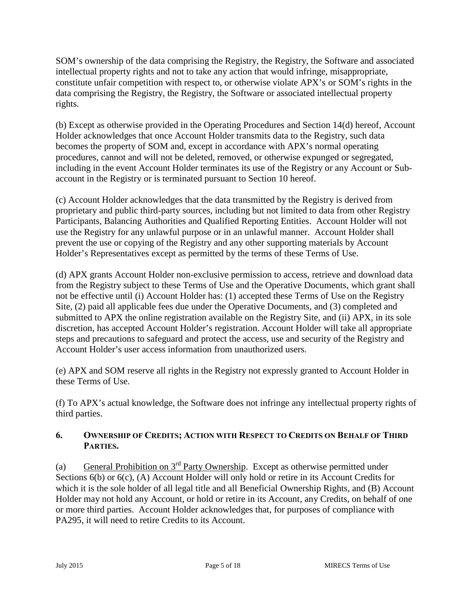SOM's ownership of the data comprising the Registry, the Registry, the Software and associated intellectual property rights and not to take any action that would infringe, misappropriate, constitute unfair competition with respect to, or otherwise violate APX's or SOM's rights in the data comprising the Registry, the Registry, the Software or associated intellectual property rights.

(b) Except as otherwise provided in the Operating Procedures and Section 14(d) hereof, Account Holder acknowledges that once Account Holder transmits data to the Registry, such data becomes the property of SOM and, except in accordance with APX's normal operating procedures, cannot and will not be deleted, removed, or otherwise expunged or segregated, including in the event Account Holder terminates its use of the Registry or any Account or Sub account in the Registry or is terminated pursuant to Section 10 hereof.

(c) Account Holder acknowledges that the data transmitted by the Registry is derived from proprietary and public third-party sources, including but not limited to data from other Registry Participants, Balancing Authorities and Qualified Reporting Entities. Account Holder will not use the Registry for any unlawful purpose or in an unlawful manner. Account Holder shall prevent the use or copying of the Registry and any other supporting materials by Account Holder's Representatives except as permitted by the terms of these Terms of Use.

(d) APX grants Account Holder non-exclusive permission to access, retrieve and download data from the Registry subject to these Terms of Use and the Operative Documents, which grant shall not be effective until (i) Account Holder has: (1) accepted these Terms of Use on the Registry Site, (2) paid all applicable fees due under the Operative Documents, and (3) completed and submitted to APX the online registration available on the Registry Site, and (ii) APX, in its sole discretion, has accepted Account Holder's registration. Account Holder will take all appropriate steps and precautions to safeguard and protect the access, use and security of the Registry and Account Holder's user access information from unauthorized users.

(e) APX and SOM reserve all rights in the Registry not expressly granted to Account Holder in these Terms of Use.

(f) To APX's actual knowledge, the Software does not infringe any intellectual property rights of third parties.

# **6. OWNERSHIP OF CREDITS; ACTION WITH RESPECT TO CREDITS ON BEHALF OF THIRD PARTIES.**

(a) General Prohibition on  $3<sup>rd</sup>$  Party Ownership. Except as otherwise permitted under Sections 6(b) or 6(c), (A) Account Holder will only hold or retire in its Account Credits for which it is the sole holder of all legal title and all Beneficial Ownership Rights, and (B) Account Holder may not hold any Account, or hold or retire in its Account, any Credits, on behalf of one or more third parties. Account Holder acknowledges that, for purposes of compliance with PA295, it will need to retire Credits to its Account.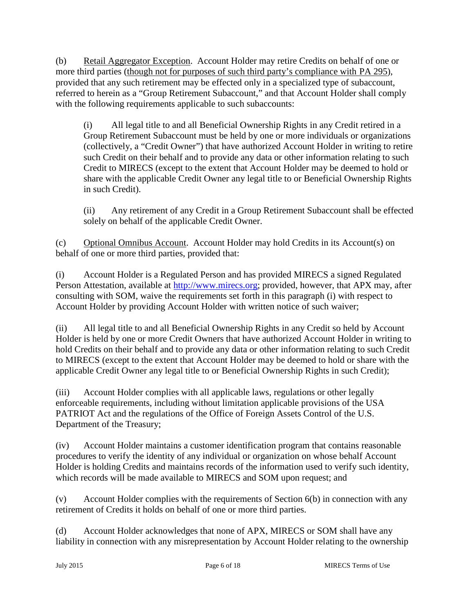(b) Retail Aggregator Exception. Account Holder may retire Credits on behalf of one or more third parties (though not for purposes of such third party's compliance with PA 295), provided that any such retirement may be effected only in a specialized type of subaccount, referred to herein as a "Group Retirement Subaccount," and that Account Holder shall comply with the following requirements applicable to such subaccounts:

(i) All legal title to and all Beneficial Ownership Rights in any Credit retired in a Group Retirement Subaccount must be held by one or more individuals or organizations (collectively, a "Credit Owner") that have authorized Account Holder in writing to retire such Credit on their behalf and to provide any data or other information relating to such Credit to MIRECS (except to the extent that Account Holder may be deemed to hold or share with the applicable Credit Owner any legal title to or Beneficial Ownership Rights in such Credit).

(ii) Any retirement of any Credit in a Group Retirement Subaccount shall be effected solely on behalf of the applicable Credit Owner.

(c) Optional Omnibus Account. Account Holder may hold Credits in its Account(s) on behalf of one or more third parties, provided that:

(i) Account Holder is a Regulated Person and has provided MIRECS a signed Regulated Person Attestation, available at http://www.mirecs.org; provided, however, that APX may, after consulting with SOM, waive the requirements set forth in this paragraph (i) with respect to Account Holder by providing Account Holder with written notice of such waiver;

(ii) All legal title to and all Beneficial Ownership Rights in any Credit so held by Account Holder is held by one or more Credit Owners that have authorized Account Holder in writing to hold Credits on their behalf and to provide any data or other information relating to such Credit to MIRECS (except to the extent that Account Holder may be deemed to hold or share with the applicable Credit Owner any legal title to or Beneficial Ownership Rights in such Credit);

(iii) Account Holder complies with all applicable laws, regulations or other legally enforceable requirements, including without limitation applicable provisions of the USA PATRIOT Act and the regulations of the Office of Foreign Assets Control of the U.S. Department of the Treasury;

(iv) Account Holder maintains a customer identification program that contains reasonable procedures to verify the identity of any individual or organization on whose behalf Account Holder is holding Credits and maintains records of the information used to verify such identity, which records will be made available to MIRECS and SOM upon request; and

(v) Account Holder complies with the requirements of Section 6(b) in connection with any retirement of Credits it holds on behalf of one or more third parties.

(d) Account Holder acknowledges that none of APX, MIRECS or SOM shall have any liability in connection with any misrepresentation by Account Holder relating to the ownership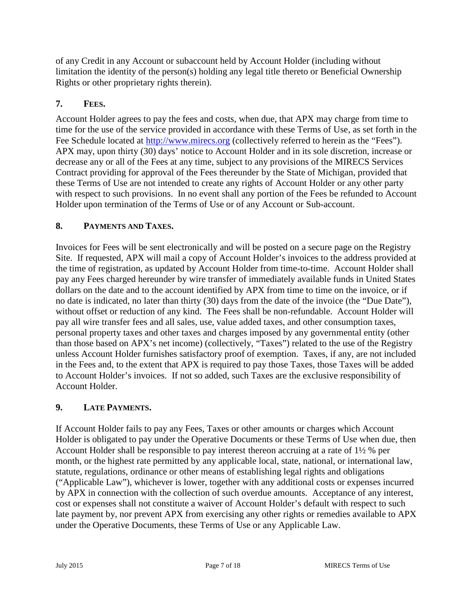of any Credit in any Account or subaccount held by Account Holder (including without limitation the identity of the person(s) holding any legal title thereto or Beneficial Ownership Rights or other proprietary rights therein).

# **7. FEES.**

Account Holder agrees to pay the fees and costs, when due, that APX may charge from time to time for the use of the service provided in accordance with these Terms of Use, as set forth in the Fee Schedule located at http://www.mirecs.org (collectively referred to herein as the "Fees"). APX may, upon thirty (30) days' notice to Account Holder and in its sole discretion, increase or decrease any or all of the Fees at any time, subject to any provisions of the MIRECS Services Contract providing for approval of the Fees thereunder by the State of Michigan, provided that these Terms of Use are not intended to create any rights of Account Holder or any other party with respect to such provisions. In no event shall any portion of the Fees be refunded to Account Holder upon termination of the Terms of Use or of any Account or Sub-account.

# **8. PAYMENTS AND TAXES.**

Invoices for Fees will be sent electronically and will be posted on a secure page on the Registry Site. If requested, APX will mail a copy of Account Holder's invoices to the address provided at the time of registration, as updated by Account Holder from time-to-time. Account Holder shall pay any Fees charged hereunder by wire transfer of immediately available funds in United States dollars on the date and to the account identified by APX from time to time on the invoice, or if no date is indicated, no later than thirty (30) days from the date of the invoice (the "Due Date"), without offset or reduction of any kind. The Fees shall be non-refundable. Account Holder will pay all wire transfer fees and all sales, use, value added taxes, and other consumption taxes, personal property taxes and other taxes and charges imposed by any governmental entity (other than those based on APX's net income) (collectively, "Taxes") related to the use of the Registry unless Account Holder furnishes satisfactory proof of exemption. Taxes, if any, are not included in the Fees and, to the extent that APX is required to pay those Taxes, those Taxes will be added to Account Holder's invoices. If not so added, such Taxes are the exclusive responsibility of Account Holder.

# **9. LATE PAYMENTS.**

If Account Holder fails to pay any Fees, Taxes or other amounts or charges which Account Holder is obligated to pay under the Operative Documents or these Terms of Use when due, then Account Holder shall be responsible to pay interest thereon accruing at a rate of 1½ % per month, or the highest rate permitted by any applicable local, state, national, or international law, statute, regulations, ordinance or other means of establishing legal rights and obligations ("Applicable Law"), whichever is lower, together with any additional costs or expenses incurred by APX in connection with the collection of such overdue amounts. Acceptance of any interest, cost or expenses shall not constitute a waiver of Account Holder's default with respect to such late payment by, nor prevent APX from exercising any other rights or remedies available to APX under the Operative Documents, these Terms of Use or any Applicable Law.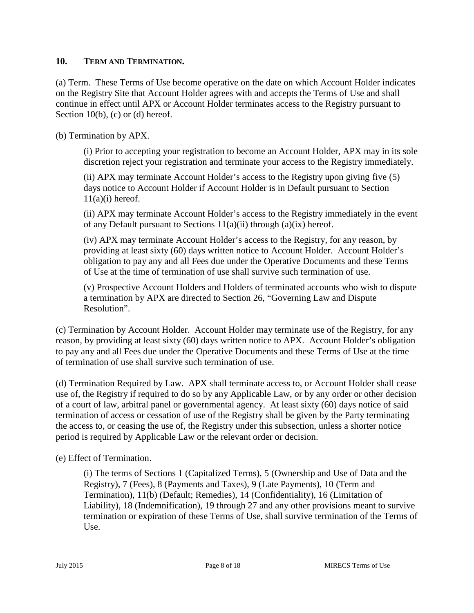#### **10. TERM AND TERMINATION.**

(a) Term. These Terms of Use become operative on the date on which Account Holder indicates on the Registry Site that Account Holder agrees with and accepts the Terms of Use and shall continue in effect until APX or Account Holder terminates access to the Registry pursuant to Section  $10(b)$ , (c) or (d) hereof.

(b) Termination by APX.

(i) Prior to accepting your registration to become an Account Holder, APX may in its sole discretion reject your registration and terminate your access to the Registry immediately.

(ii) APX may terminate Account Holder's access to the Registry upon giving five (5) days notice to Account Holder if Account Holder is in Default pursuant to Section  $11(a)(i)$  hereof.

(ii) APX may terminate Account Holder's access to the Registry immediately in the event of any Default pursuant to Sections  $11(a)(ii)$  through  $(a)(ix)$  hereof.

(iv) APX may terminate Account Holder's access to the Registry, for any reason, by providing at least sixty (60) days written notice to Account Holder. Account Holder's obligation to pay any and all Fees due under the Operative Documents and these Terms of Use at the time of termination of use shall survive such termination of use.

(v) Prospective Account Holders and Holders of terminated accounts who wish to dispute a termination by APX are directed to Section 26, "Governing Law and Dispute Resolution".

(c) Termination by Account Holder. Account Holder may terminate use of the Registry, for any reason, by providing at least sixty (60) days written notice to APX. Account Holder's obligation to pay any and all Fees due under the Operative Documents and these Terms of Use at the time of termination of use shall survive such termination of use.

(d) Termination Required by Law. APX shall terminate access to, or Account Holder shall cease use of, the Registry if required to do so by any Applicable Law, or by any order or other decision of a court of law, arbitral panel or governmental agency. At least sixty (60) days notice of said termination of access or cessation of use of the Registry shall be given by the Party terminating the access to, or ceasing the use of, the Registry under this subsection, unless a shorter notice period is required by Applicable Law or the relevant order or decision.

(e) Effect of Termination.

(i) The terms of Sections 1 (Capitalized Terms), 5 (Ownership and Use of Data and the Registry), 7 (Fees), 8 (Payments and Taxes), 9 (Late Payments), 10 (Term and Termination), 11(b) (Default; Remedies), 14 (Confidentiality), 16 (Limitation of Liability), 18 (Indemnification), 19 through 27 and any other provisions meant to survive termination or expiration of these Terms of Use, shall survive termination of the Terms of Use.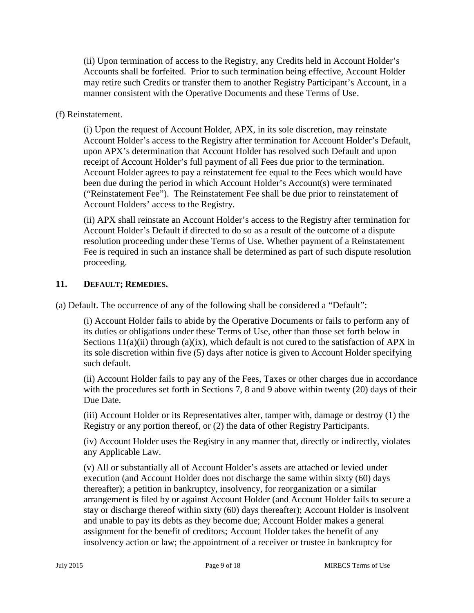(ii) Upon termination of access to the Registry, any Credits held in Account Holder's Accounts shall be forfeited. Prior to such termination being effective, Account Holder may retire such Credits or transfer them to another Registry Participant's Account, in a manner consistent with the Operative Documents and these Terms of Use.

### (f) Reinstatement.

(i) Upon the request of Account Holder, APX, in its sole discretion, may reinstate Account Holder's access to the Registry after termination for Account Holder's Default, upon APX's determination that Account Holder has resolved such Default and upon receipt of Account Holder's full payment of all Fees due prior to the termination. Account Holder agrees to pay a reinstatement fee equal to the Fees which would have been due during the period in which Account Holder's Account(s) were terminated ("Reinstatement Fee"). The Reinstatement Fee shall be due prior to reinstatement of Account Holders' access to the Registry.

(ii) APX shall reinstate an Account Holder's access to the Registry after termination for Account Holder's Default if directed to do so as a result of the outcome of a dispute resolution proceeding under these Terms of Use. Whether payment of a Reinstatement Fee is required in such an instance shall be determined as part of such dispute resolution proceeding.

### **11. DEFAULT; REMEDIES.**

(a) Default. The occurrence of any of the following shall be considered a "Default":

(i) Account Holder fails to abide by the Operative Documents or fails to perform any of its duties or obligations under these Terms of Use, other than those set forth below in Sections  $11(a)(ii)$  through  $(a)(ix)$ , which default is not cured to the satisfaction of APX in its sole discretion within five (5) days after notice is given to Account Holder specifying such default.

(ii) Account Holder fails to pay any of the Fees, Taxes or other charges due in accordance with the procedures set forth in Sections 7, 8 and 9 above within twenty (20) days of their Due Date.

(iii) Account Holder or its Representatives alter, tamper with, damage or destroy (1) the Registry or any portion thereof, or (2) the data of other Registry Participants.

(iv) Account Holder uses the Registry in any manner that, directly or indirectly, violates any Applicable Law.

(v) All or substantially all of Account Holder's assets are attached or levied under execution (and Account Holder does not discharge the same within sixty (60) days thereafter); a petition in bankruptcy, insolvency, for reorganization or a similar arrangement is filed by or against Account Holder (and Account Holder fails to secure a stay or discharge thereof within sixty (60) days thereafter); Account Holder is insolvent and unable to pay its debts as they become due; Account Holder makes a general assignment for the benefit of creditors; Account Holder takes the benefit of any insolvency action or law; the appointment of a receiver or trustee in bankruptcy for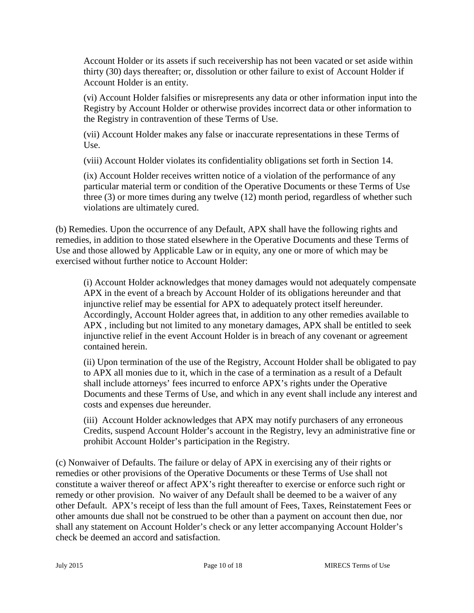Account Holder or its assets if such receivership has not been vacated or set aside within thirty (30) days thereafter; or, dissolution or other failure to exist of Account Holder if Account Holder is an entity.

(vi) Account Holder falsifies or misrepresents any data or other information input into the Registry by Account Holder or otherwise provides incorrect data or other information to the Registry in contravention of these Terms of Use.

(vii) Account Holder makes any false or inaccurate representations in these Terms of Use.

(viii) Account Holder violates its confidentiality obligations set forth in Section 14.

(ix) Account Holder receives written notice of a violation of the performance of any particular material term or condition of the Operative Documents or these Terms of Use three (3) or more times during any twelve (12) month period, regardless of whether such violations are ultimately cured.

(b) Remedies. Upon the occurrence of any Default, APX shall have the following rights and remedies, in addition to those stated elsewhere in the Operative Documents and these Terms of Use and those allowed by Applicable Law or in equity, any one or more of which may be exercised without further notice to Account Holder:

(i) Account Holder acknowledges that money damages would not adequately compensate APX in the event of a breach by Account Holder of its obligations hereunder and that injunctive relief may be essential for APX to adequately protect itself hereunder. Accordingly, Account Holder agrees that, in addition to any other remedies available to APX , including but not limited to any monetary damages, APX shall be entitled to seek injunctive relief in the event Account Holder is in breach of any covenant or agreement contained herein.

(ii) Upon termination of the use of the Registry, Account Holder shall be obligated to pay to APX all monies due to it, which in the case of a termination as a result of a Default shall include attorneys' fees incurred to enforce APX's rights under the Operative Documents and these Terms of Use, and which in any event shall include any interest and costs and expenses due hereunder.

(iii) Account Holder acknowledges that APX may notify purchasers of any erroneous Credits, suspend Account Holder's account in the Registry, levy an administrative fine or prohibit Account Holder's participation in the Registry.

(c) Nonwaiver of Defaults. The failure or delay of APX in exercising any of their rights or remedies or other provisions of the Operative Documents or these Terms of Use shall not constitute a waiver thereof or affect APX's right thereafter to exercise or enforce such right or remedy or other provision. No waiver of any Default shall be deemed to be a waiver of any other Default. APX's receipt of less than the full amount of Fees, Taxes, Reinstatement Fees or other amounts due shall not be construed to be other than a payment on account then due, nor shall any statement on Account Holder's check or any letter accompanying Account Holder's check be deemed an accord and satisfaction.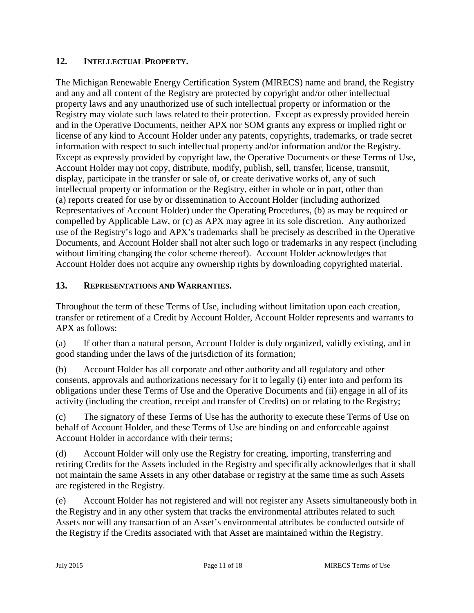### **12. INTELLECTUAL PROPERTY.**

The Michigan Renewable Energy Certification System (MIRECS) name and brand, the Registry and any and all content of the Registry are protected by copyright and/or other intellectual property laws and any unauthorized use of such intellectual property or information or the Registry may violate such laws related to their protection. Except as expressly provided herein and in the Operative Documents, neither APX nor SOM grants any express or implied right or license of any kind to Account Holder under any patents, copyrights, trademarks, or trade secret information with respect to such intellectual property and/or information and/or the Registry. Except as expressly provided by copyright law, the Operative Documents or these Terms of Use, Account Holder may not copy, distribute, modify, publish, sell, transfer, license, transmit, display, participate in the transfer or sale of, or create derivative works of, any of such intellectual property or information or the Registry, either in whole or in part, other than (a) reports created for use by or dissemination to Account Holder (including authorized Representatives of Account Holder) under the Operating Procedures, (b) as may be required or compelled by Applicable Law, or (c) as APX may agree in its sole discretion. Any authorized use of the Registry's logo and APX's trademarks shall be precisely as described in the Operative Documents, and Account Holder shall not alter such logo or trademarks in any respect (including without limiting changing the color scheme thereof). Account Holder acknowledges that Account Holder does not acquire any ownership rights by downloading copyrighted material.

# **13. REPRESENTATIONS AND WARRANTIES.**

Throughout the term of these Terms of Use, including without limitation upon each creation, transfer or retirement of a Credit by Account Holder, Account Holder represents and warrants to APX as follows:

(a) If other than a natural person, Account Holder is duly organized, validly existing, and in good standing under the laws of the jurisdiction of its formation;

(b) Account Holder has all corporate and other authority and all regulatory and other consents, approvals and authorizations necessary for it to legally (i) enter into and perform its obligations under these Terms of Use and the Operative Documents and (ii) engage in all of its activity (including the creation, receipt and transfer of Credits) on or relating to the Registry;

(c) The signatory of these Terms of Use has the authority to execute these Terms of Use on behalf of Account Holder, and these Terms of Use are binding on and enforceable against Account Holder in accordance with their terms;

(d) Account Holder will only use the Registry for creating, importing, transferring and retiring Credits for the Assets included in the Registry and specifically acknowledges that it shall not maintain the same Assets in any other database or registry at the same time as such Assets are registered in the Registry.

(e) Account Holder has not registered and will not register any Assets simultaneously both in the Registry and in any other system that tracks the environmental attributes related to such Assets nor will any transaction of an Asset's environmental attributes be conducted outside of the Registry if the Credits associated with that Asset are maintained within the Registry.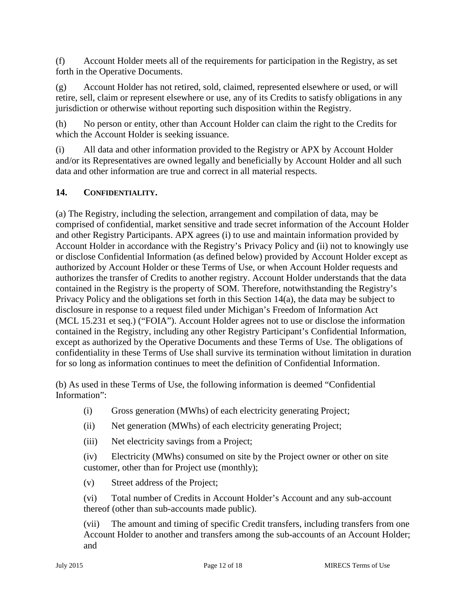(f) Account Holder meets all of the requirements for participation in the Registry, as set forth in the Operative Documents.

(g) Account Holder has not retired, sold, claimed, represented elsewhere or used, or will retire, sell, claim or represent elsewhere or use, any of its Credits to satisfy obligations in any jurisdiction or otherwise without reporting such disposition within the Registry.

(h) No person or entity, other than Account Holder can claim the right to the Credits for which the Account Holder is seeking issuance.

(i) All data and other information provided to the Registry or APX by Account Holder and/or its Representatives are owned legally and beneficially by Account Holder and all such data and other information are true and correct in all material respects.

# **14. CONFIDENTIALITY.**

(a) The Registry, including the selection, arrangement and compilation of data, may be comprised of confidential, market sensitive and trade secret information of the Account Holder and other Registry Participants. APX agrees (i) to use and maintain information provided by Account Holder in accordance with the Registry's Privacy Policy and (ii) not to knowingly use or disclose Confidential Information (as defined below) provided by Account Holder except as authorized by Account Holder or these Terms of Use, or when Account Holder requests and authorizes the transfer of Credits to another registry. Account Holder understands that the data contained in the Registry is the property of SOM. Therefore, notwithstanding the Registry's Privacy Policy and the obligations set forth in this Section 14(a), the data may be subject to disclosure in response to a request filed under Michigan's Freedom of Information Act (MCL 15.231 et seq.) ("FOIA"). Account Holder agrees not to use or disclose the information contained in the Registry, including any other Registry Participant's Confidential Information, except as authorized by the Operative Documents and these Terms of Use. The obligations of confidentiality in these Terms of Use shall survive its termination without limitation in duration for so long as information continues to meet the definition of Confidential Information.

(b) As used in these Terms of Use, the following information is deemed "Confidential Information":

- (i) Gross generation (MWhs) of each electricity generating Project;
- (ii) Net generation (MWhs) of each electricity generating Project;
- (iii) Net electricity savings from a Project;

(iv) Electricity (MWhs) consumed on site by the Project owner or other on site customer, other than for Project use (monthly);

(v) Street address of the Project;

(vi) Total number of Credits in Account Holder's Account and any sub-account thereof (other than sub-accounts made public).

(vii) The amount and timing of specific Credit transfers, including transfers from one Account Holder to another and transfers among the sub-accounts of an Account Holder; and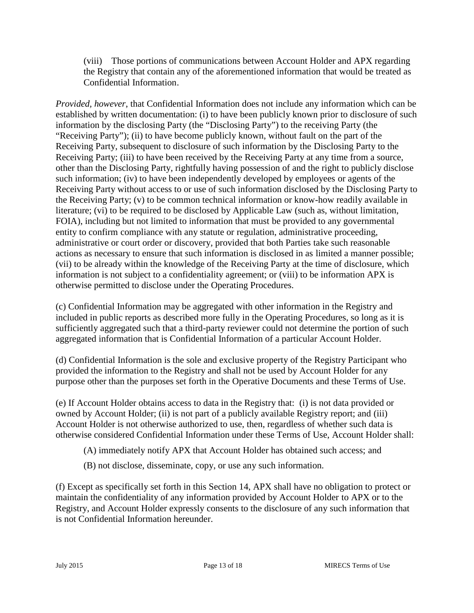(viii) Those portions of communications between Account Holder and APX regarding the Registry that contain any of the aforementioned information that would be treated as Confidential Information.

*Provided, however*, that Confidential Information does not include any information which can be established by written documentation: (i) to have been publicly known prior to disclosure of such information by the disclosing Party (the "Disclosing Party") to the receiving Party (the "Receiving Party"); (ii) to have become publicly known, without fault on the part of the Receiving Party, subsequent to disclosure of such information by the Disclosing Party to the Receiving Party; (iii) to have been received by the Receiving Party at any time from a source, other than the Disclosing Party, rightfully having possession of and the right to publicly disclose such information; (iv) to have been independently developed by employees or agents of the Receiving Party without access to or use of such information disclosed by the Disclosing Party to the Receiving Party; (v) to be common technical information or know-how readily available in literature; (vi) to be required to be disclosed by Applicable Law (such as, without limitation, FOIA), including but not limited to information that must be provided to any governmental entity to confirm compliance with any statute or regulation, administrative proceeding, administrative or court order or discovery, provided that both Parties take such reasonable actions as necessary to ensure that such information is disclosed in as limited a manner possible; (vii) to be already within the knowledge of the Receiving Party at the time of disclosure, which information is not subject to a confidentiality agreement; or (viii) to be information APX is otherwise permitted to disclose under the Operating Procedures.

(c) Confidential Information may be aggregated with other information in the Registry and included in public reports as described more fully in the Operating Procedures, so long as it is sufficiently aggregated such that a third-party reviewer could not determine the portion of such aggregated information that is Confidential Information of a particular Account Holder.

(d) Confidential Information is the sole and exclusive property of the Registry Participant who provided the information to the Registry and shall not be used by Account Holder for any purpose other than the purposes set forth in the Operative Documents and these Terms of Use.

(e) If Account Holder obtains access to data in the Registry that: (i) is not data provided or owned by Account Holder; (ii) is not part of a publicly available Registry report; and (iii) Account Holder is not otherwise authorized to use, then, regardless of whether such data is otherwise considered Confidential Information under these Terms of Use, Account Holder shall:

- (A) immediately notify APX that Account Holder has obtained such access; and
- (B) not disclose, disseminate, copy, or use any such information.

(f) Except as specifically set forth in this Section 14, APX shall have no obligation to protect or maintain the confidentiality of any information provided by Account Holder to APX or to the Registry, and Account Holder expressly consents to the disclosure of any such information that is not Confidential Information hereunder.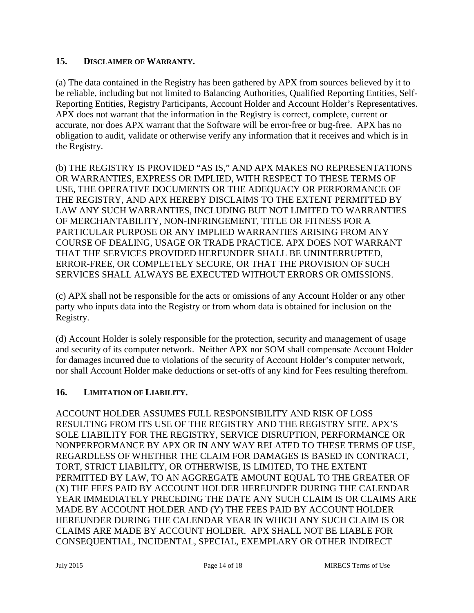### **15. DISCLAIMER OF WARRANTY.**

(a) The data contained in the Registry has been gathered by APX from sources believed by it to be reliable, including but not limited to Balancing Authorities, Qualified Reporting Entities, Self- Reporting Entities, Registry Participants, Account Holder and Account Holder's Representatives. APX does not warrant that the information in the Registry is correct, complete, current or accurate, nor does APX warrant that the Software will be error-free or bug-free. APX has no obligation to audit, validate or otherwise verify any information that it receives and which is in the Registry.

(b) THE REGISTRY IS PROVIDED "AS IS," AND APX MAKES NO REPRESENTATIONS OR WARRANTIES, EXPRESS OR IMPLIED, WITH RESPECT TO THESE TERMS OF USE, THE OPERATIVE DOCUMENTS OR THE ADEQUACY OR PERFORMANCE OF THE REGISTRY, AND APX HEREBY DISCLAIMS TO THE EXTENT PERMITTED BY LAW ANY SUCH WARRANTIES, INCLUDING BUT NOT LIMITED TO WARRANTIES OF MERCHANTABILITY, NON-INFRINGEMENT, TITLE OR FITNESS FOR A PARTICULAR PURPOSE OR ANY IMPLIED WARRANTIES ARISING FROM ANY COURSE OF DEALING, USAGE OR TRADE PRACTICE. APX DOES NOT WARRANT THAT THE SERVICES PROVIDED HEREUNDER SHALL BE UNINTERRUPTED, ERROR-FREE, OR COMPLETELY SECURE, OR THAT THE PROVISION OF SUCH SERVICES SHALL ALWAYS BE EXECUTED WITHOUT ERRORS OR OMISSIONS.

(c) APX shall not be responsible for the acts or omissions of any Account Holder or any other party who inputs data into the Registry or from whom data is obtained for inclusion on the Registry.

(d) Account Holder is solely responsible for the protection, security and management of usage and security of its computer network. Neither APX nor SOM shall compensate Account Holder for damages incurred due to violations of the security of Account Holder's computer network, nor shall Account Holder make deductions or set-offs of any kind for Fees resulting therefrom.

### **16. LIMITATION OF LIABILITY.**

ACCOUNT HOLDER ASSUMES FULL RESPONSIBILITY AND RISK OF LOSS RESULTING FROM ITS USE OF THE REGISTRY AND THE REGISTRY SITE. APX'S SOLE LIABILITY FOR THE REGISTRY, SERVICE DISRUPTION, PERFORMANCE OR NONPERFORMANCE BY APX OR IN ANY WAY RELATED TO THESE TERMS OF USE, REGARDLESS OF WHETHER THE CLAIM FOR DAMAGES IS BASED IN CONTRACT, TORT, STRICT LIABILITY, OR OTHERWISE, IS LIMITED, TO THE EXTENT PERMITTED BY LAW, TO AN AGGREGATE AMOUNT EQUAL TO THE GREATER OF (X) THE FEES PAID BY ACCOUNT HOLDER HEREUNDER DURING THE CALENDAR YEAR IMMEDIATELY PRECEDING THE DATE ANY SUCH CLAIM IS OR CLAIMS ARE MADE BY ACCOUNT HOLDER AND (Y) THE FEES PAID BY ACCOUNT HOLDER HEREUNDER DURING THE CALENDAR YEAR IN WHICH ANY SUCH CLAIM IS OR CLAIMS ARE MADE BY ACCOUNT HOLDER. APX SHALL NOT BE LIABLE FOR CONSEQUENTIAL, INCIDENTAL, SPECIAL, EXEMPLARY OR OTHER INDIRECT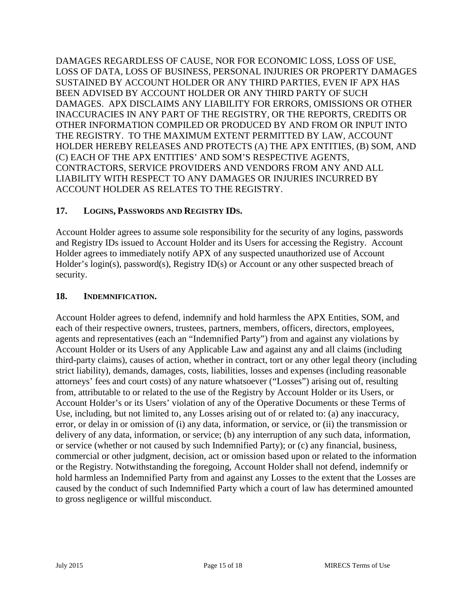DAMAGES REGARDLESS OF CAUSE, NOR FOR ECONOMIC LOSS, LOSS OF USE, LOSS OF DATA, LOSS OF BUSINESS, PERSONAL INJURIES OR PROPERTY DAMAGES SUSTAINED BY ACCOUNT HOLDER OR ANY THIRD PARTIES, EVEN IF APX HAS BEEN ADVISED BY ACCOUNT HOLDER OR ANY THIRD PARTY OF SUCH DAMAGES. APX DISCLAIMS ANY LIABILITY FOR ERRORS, OMISSIONS OR OTHER INACCURACIES IN ANY PART OF THE REGISTRY, OR THE REPORTS, CREDITS OR OTHER INFORMATION COMPILED OR PRODUCED BY AND FROM OR INPUT INTO THE REGISTRY. TO THE MAXIMUM EXTENT PERMITTED BY LAW, ACCOUNT HOLDER HEREBY RELEASES AND PROTECTS (A) THE APX ENTITIES, (B) SOM, AND (C) EACH OF THE APX ENTITIES' AND SOM'S RESPECTIVE AGENTS, CONTRACTORS, SERVICE PROVIDERS AND VENDORS FROM ANY AND ALL LIABILITY WITH RESPECT TO ANY DAMAGES OR INJURIES INCURRED BY ACCOUNT HOLDER AS RELATES TO THE REGISTRY.

# **17. LOGINS, PASSWORDS AND REGISTRY IDS.**

Account Holder agrees to assume sole responsibility for the security of any logins, passwords and Registry IDs issued to Account Holder and its Users for accessing the Registry. Account Holder agrees to immediately notify APX of any suspected unauthorized use of Account Holder's login(s), password(s), Registry ID(s) or Account or any other suspected breach of security.

### **18. INDEMNIFICATION.**

Account Holder agrees to defend, indemnify and hold harmless the APX Entities, SOM, and each of their respective owners, trustees, partners, members, officers, directors, employees, agents and representatives (each an "Indemnified Party") from and against any violations by Account Holder or its Users of any Applicable Law and against any and all claims (including third-party claims), causes of action, whether in contract, tort or any other legal theory (including strict liability), demands, damages, costs, liabilities, losses and expenses (including reasonable attorneys' fees and court costs) of any nature whatsoever ("Losses") arising out of, resulting from, attributable to or related to the use of the Registry by Account Holder or its Users, or Account Holder's or its Users' violation of any of the Operative Documents or these Terms of Use, including, but not limited to, any Losses arising out of or related to: (a) any inaccuracy, error, or delay in or omission of (i) any data, information, or service, or (ii) the transmission or delivery of any data, information, or service; (b) any interruption of any such data, information, or service (whether or not caused by such Indemnified Party); or (c) any financial, business, commercial or other judgment, decision, act or omission based upon or related to the information or the Registry. Notwithstanding the foregoing, Account Holder shall not defend, indemnify or hold harmless an Indemnified Party from and against any Losses to the extent that the Losses are caused by the conduct of such Indemnified Party which a court of law has determined amounted to gross negligence or willful misconduct.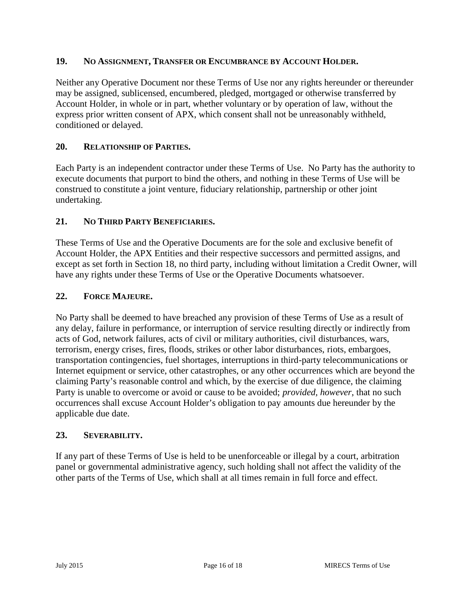### **19. NO ASSIGNMENT, TRANSFER OR ENCUMBRANCE BY ACCOUNT HOLDER.**

Neither any Operative Document nor these Terms of Use nor any rights hereunder or thereunder may be assigned, sublicensed, encumbered, pledged, mortgaged or otherwise transferred by Account Holder, in whole or in part, whether voluntary or by operation of law, without the express prior written consent of APX, which consent shall not be unreasonably withheld, conditioned or delayed.

### **20. RELATIONSHIP OF PARTIES.**

Each Party is an independent contractor under these Terms of Use. No Party has the authority to execute documents that purport to bind the others, and nothing in these Terms of Use will be construed to constitute a joint venture, fiduciary relationship, partnership or other joint undertaking.

### **21. NO THIRD PARTY BENEFICIARIES.**

These Terms of Use and the Operative Documents are for the sole and exclusive benefit of Account Holder, the APX Entities and their respective successors and permitted assigns, and except as set forth in Section 18, no third party, including without limitation a Credit Owner, will have any rights under these Terms of Use or the Operative Documents whatsoever.

### **22. FORCE MAJEURE.**

No Party shall be deemed to have breached any provision of these Terms of Use as a result of any delay, failure in performance, or interruption of service resulting directly or indirectly from acts of God, network failures, acts of civil or military authorities, civil disturbances, wars, terrorism, energy crises, fires, floods, strikes or other labor disturbances, riots, embargoes, transportation contingencies, fuel shortages, interruptions in third-party telecommunications or Internet equipment or service, other catastrophes, or any other occurrences which are beyond the claiming Party's reasonable control and which, by the exercise of due diligence, the claiming Party is unable to overcome or avoid or cause to be avoided; *provided, however*, that no such occurrences shall excuse Account Holder's obligation to pay amounts due hereunder by the applicable due date.

### **23. SEVERABILITY.**

If any part of these Terms of Use is held to be unenforceable or illegal by a court, arbitration panel or governmental administrative agency, such holding shall not affect the validity of the other parts of the Terms of Use, which shall at all times remain in full force and effect.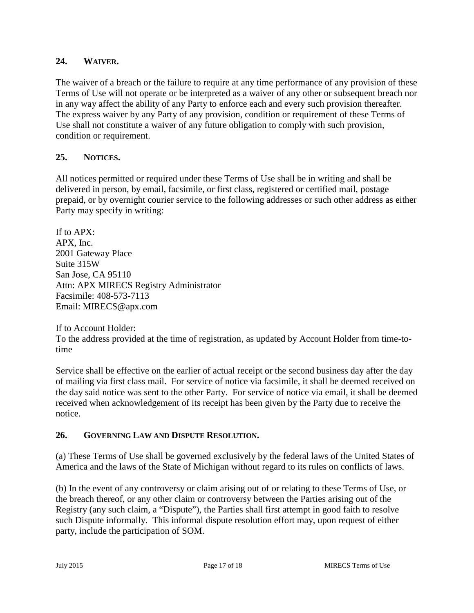### **24. WAIVER.**

The waiver of a breach or the failure to require at any time performance of any provision of these Terms of Use will not operate or be interpreted as a waiver of any other or subsequent breach nor in any way affect the ability of any Party to enforce each and every such provision thereafter. The express waiver by any Party of any provision, condition or requirement of these Terms of Use shall not constitute a waiver of any future obligation to comply with such provision, condition or requirement.

# **25. NOTICES.**

All notices permitted or required under these Terms of Use shall be in writing and shall be delivered in person, by email, facsimile, or first class, registered or certified mail, postage prepaid, or by overnight courier service to the following addresses or such other address as either Party may specify in writing:

If to APX: APX, Inc. 2001 Gateway Place Suite 315W San Jose, CA 95110 Attn: APX MIRECS Registry Administrator Facsimile: 408-573-7113 Email: MIRECS@apx.com

If to Account Holder:

To the address provided at the time of registration, as updated by Account Holder from time-totime

Service shall be effective on the earlier of actual receipt or the second business day after the day of mailing via first class mail. For service of notice via facsimile, it shall be deemed received on the day said notice was sent to the other Party. For service of notice via email, it shall be deemed received when acknowledgement of its receipt has been given by the Party due to receive the notice.

# **26. GOVERNING LAW AND DISPUTE RESOLUTION.**

(a) These Terms of Use shall be governed exclusively by the federal laws of the United States of America and the laws of the State of Michigan without regard to its rules on conflicts of laws.

(b) In the event of any controversy or claim arising out of or relating to these Terms of Use, or the breach thereof, or any other claim or controversy between the Parties arising out of the Registry (any such claim, a "Dispute"), the Parties shall first attempt in good faith to resolve such Dispute informally. This informal dispute resolution effort may, upon request of either party, include the participation of SOM.